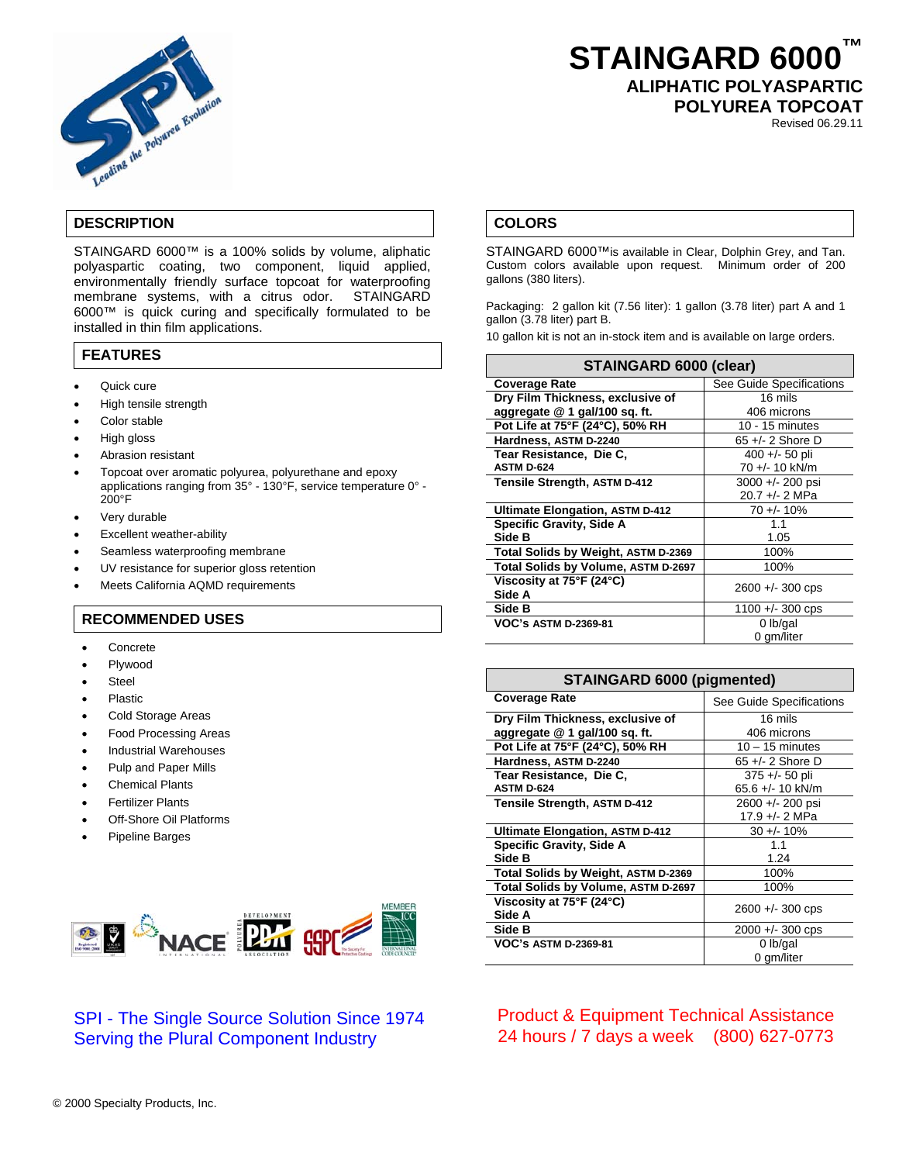

# **STAINGARD 6000™ ALIPHATIC POLYASPARTIC**

**POLYUREA TOPCOAT** 

Revised 06.29.11

## **DESCRIPTION**

STAINGARD 6000™ is a 100% solids by volume, aliphatic polyaspartic coating, two component, liquid applied, environmentally friendly surface topcoat for waterproofing membrane systems, with a citrus odor. STAINGARD 6000™ is quick curing and specifically formulated to be installed in thin film applications.

### **FEATURES**

- Quick cure
- High tensile strength
- Color stable
- High gloss
- Abrasion resistant
- Topcoat over aromatic polyurea, polyurethane and epoxy applications ranging from 35° - 130°F, service temperature 0° - 200°F
- Very durable
- Excellent weather-ability
- Seamless waterproofing membrane
- UV resistance for superior gloss retention
- Meets California AQMD requirements

#### **RECOMMENDED USES**

- **Concrete**
- Plywood
- **Steel**
- Plastic
- Cold Storage Areas
- Food Processing Areas
- Industrial Warehouses
- Pulp and Paper Mills
- Chemical Plants
- Fertilizer Plants
- **Off-Shore Oil Platforms**
- Pipeline Barges



# SPI - The Single Source Solution Since 1974 Serving the Plural Component Industry

# **COLORS**

STAINGARD 6000™is available in Clear, Dolphin Grey, and Tan. Custom colors available upon request. Minimum order of 200 gallons (380 liters).

Packaging: 2 gallon kit (7.56 liter): 1 gallon (3.78 liter) part A and 1 gallon (3.78 liter) part B.

10 gallon kit is not an in-stock item and is available on large orders.

| STAINGARD 6000 (clear)                 |                          |
|----------------------------------------|--------------------------|
| <b>Coverage Rate</b>                   | See Guide Specifications |
| Dry Film Thickness, exclusive of       | 16 mils                  |
| aggregate @ 1 gal/100 sq. ft.          | 406 microns              |
| Pot Life at 75°F (24°C), 50% RH        | 10 - 15 minutes          |
| Hardness, ASTM D-2240                  | $65 +/- 2$ Shore D       |
| Tear Resistance, Die C,                | $400 + (-50)$ pli        |
| <b>ASTM D-624</b>                      | 70 +/- 10 kN/m           |
| Tensile Strength, ASTM D-412           | 3000 +/- 200 psi         |
|                                        | 20.7 +/- 2 MPa           |
| <b>Ultimate Elongation, ASTM D-412</b> | $70 + 10%$               |
| <b>Specific Gravity, Side A</b>        | 1.1                      |
| Side B                                 | 1.05                     |
| Total Solids by Weight, ASTM D-2369    | 100%                     |
| Total Solids by Volume, ASTM D-2697    | 100%                     |
| Viscosity at 75°F (24°C)               | $2600 + 300$ cps         |
| Side A                                 |                          |
| Side B                                 | $1100 + - 300$ cps       |
| <b>VOC's ASTM D-2369-81</b>            | $0$ lb/gal               |
|                                        | 0 gm/liter               |

#### **STAINGARD 6000 (pigmented)**

| <b>Coverage Rate</b>                   | See Guide Specifications |
|----------------------------------------|--------------------------|
| Dry Film Thickness, exclusive of       | 16 mils                  |
| aggregate @ 1 gal/100 sq. ft.          | 406 microns              |
| Pot Life at 75°F (24°C), 50% RH        | $10 - 15$ minutes        |
| Hardness, ASTM D-2240                  | 65 $+/- 2$ Shore D       |
| Tear Resistance, Die C.                | 375 +/- 50 pli           |
| <b>ASTM D-624</b>                      | 65.6 +/- 10 kN/m         |
| Tensile Strength, ASTM D-412           | 2600 +/- 200 psi         |
|                                        | 17.9 +/- 2 MPa           |
| <b>Ultimate Elongation, ASTM D-412</b> | $30 + 10%$               |
| <b>Specific Gravity, Side A</b>        | 1.1                      |
| Side B                                 | 1.24                     |
| Total Solids by Weight, ASTM D-2369    | 100%                     |
| Total Solids by Volume, ASTM D-2697    | 100%                     |
| Viscosity at 75°F (24°C)               | $2600 +/- 300$ cps       |
| Side A                                 |                          |
| Side B                                 | $2000 +/- 300$ cps       |
| <b>VOC's ASTM D-2369-81</b>            | $0$ lb/gal               |
|                                        | 0 gm/liter               |

Product & Equipment Technical Assistance 24 hours / 7 days a week (800) 627-0773